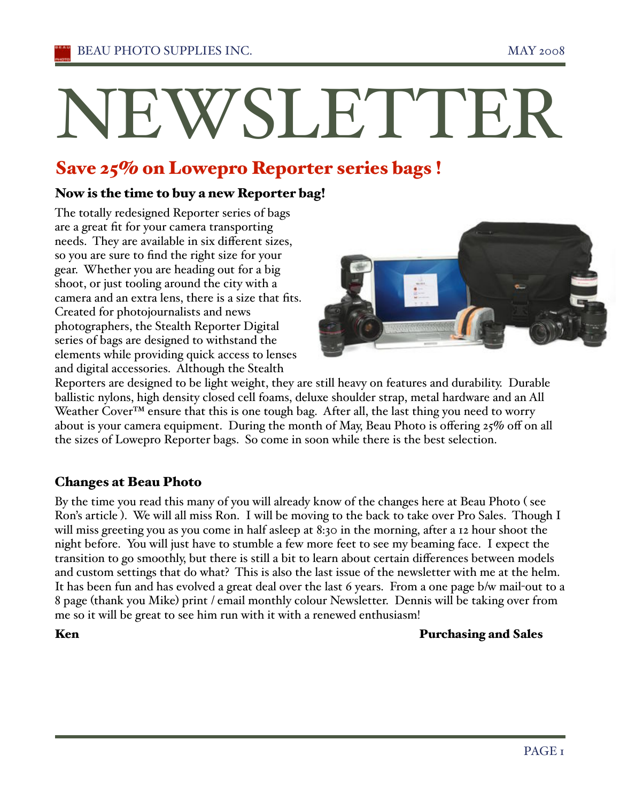# NEWSLETTER

# Save 25% on Lowepro Reporter series bags !

# Now is the time to buy a new Reporter bag!

The totally redesigned Reporter series of bags are a great fit for your camera transporting needs. They are available in six different sizes, so you are sure to find the right size for your gear. Whether you are heading out for a big shoot, or just tooling around the city with a camera and an extra lens, there is a size that fits. Created for photojournalists and news photographers, the Stealth Reporter Digital series of bags are designed to withstand the elements while providing quick access to lenses and digital accessories. Although the Stealth



Reporters are designed to be light weight, they are still heavy on features and durability. Durable ballistic nylons, high density closed cell foams, deluxe shoulder strap, metal hardware and an All Weather Cover<sup>™</sup> ensure that this is one tough bag. After all, the last thing you need to worry about is your camera equipment. During the month of May, Beau Photo is offering 25% off on all the sizes of Lowepro Reporter bags. So come in soon while there is the best selection.

# Changes at Beau Photo

By the time you read this many of you will already know of the changes here at Beau Photo ( see Ron's article ). We will all miss Ron. I will be moving to the back to take over Pro Sales. Though I will miss greeting you as you come in half asleep at 8:30 in the morning, after a 12 hour shoot the night before. You will just have to stumble a few more feet to see my beaming face. I expect the transition to go smoothly, but there is still a bit to learn about certain differences between models and custom settings that do what? This is also the last issue of the newsletter with me at the helm. It has been fun and has evolved a great deal over the last 6 years. From a one page b/w mail-out to a 8 page (thank you Mike) print / email monthly colour Newsletter. Dennis will be taking over from me so it will be great to see him run with it with a renewed enthusiasm!

# Ken Purchasing and Sales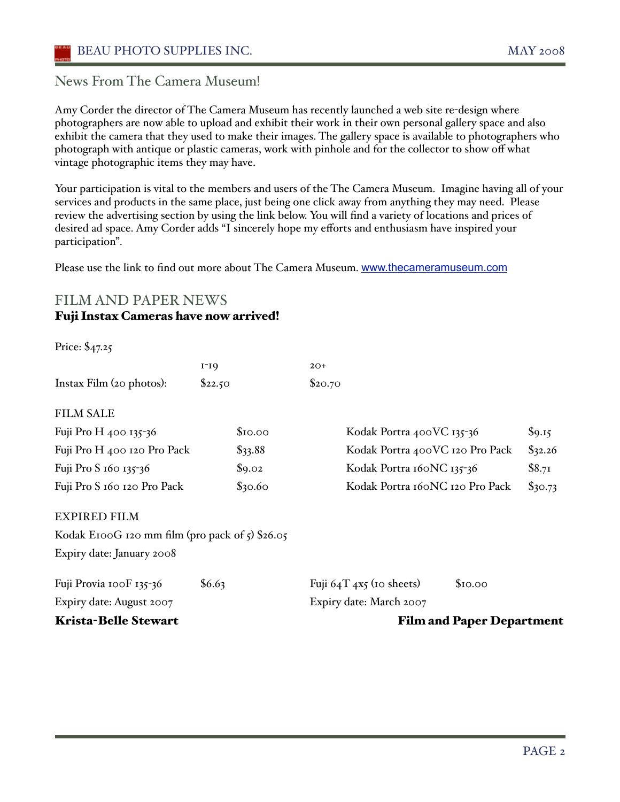News From The Camera Museum!

Amy Corder the director of The Camera Museum has recently launched a web site re-design where photographers are now able to upload and exhibit their work in their own personal gallery space and also exhibit the camera that they used to make their images. The gallery space is available to photographers who photograph with antique or plastic cameras, work with pinhole and for the collector to show off what vintage photographic items they may have.

Your participation is vital to the members and users of the The Camera Museum. Imagine having all of your services and products in the same place, just being one click away from anything they may need. Please review the advertising section by using the link below. You will find a variety of locations and prices of desired ad space. Amy Corder adds "I sincerely hope my efforts and enthusiasm have inspired your participation".

Please use the link to find out more about The Camera Museum. www.thecameramuseum.com

# FILM AND PAPER NEWS

### Fuji Instax Cameras have now arrived!

|                                                        | $I-IQ$    | $2O+$                                   |         |
|--------------------------------------------------------|-----------|-----------------------------------------|---------|
| Instax Film (20 photos):                               | \$22.50   | \$20.70                                 |         |
| <b>FILM SALE</b>                                       |           |                                         |         |
| Fuji Pro H 400 135-36                                  | \$10.00   | Kodak Portra 400VC 135-36               | \$9.15  |
| Fuji Pro H 400 120 Pro Pack                            | $\$33.88$ | Kodak Portra 400VC 120 Pro Pack         | \$32.26 |
| Fuji Pro S 160 135-36                                  | \$9.02    | Kodak Portra 160NC 135-36               | \$8.71  |
| Fuji Pro S 160 120 Pro Pack                            | \$30.60   | Kodak Portra 160NC 120 Pro Pack         | \$30.73 |
| <b>EXPIRED FILM</b>                                    |           |                                         |         |
| Kodak E100G 120 mm film (pro pack of $\zeta$ ) \$26.05 |           |                                         |         |
| Expiry date: January 2008                              |           |                                         |         |
| Fuji Provia 100F 135-36                                | \$6.63    | Fuji $64T$ $4x5$ (10 sheets)<br>\$10.00 |         |
| Expiry date: August 2007                               |           | Expiry date: March 2007                 |         |
| <b>Krista-Belle Stewart</b>                            |           | <b>Film and Paper Department</b>        |         |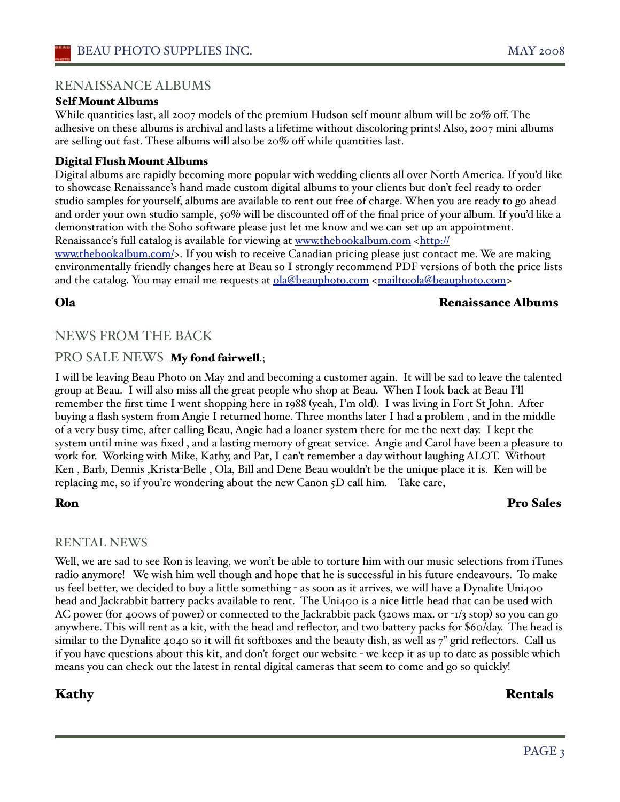### RENAISSANCE ALBUMS

### Self Mount Albums

While quantities last, all 2007 models of the premium Hudson self mount album will be 20% off. The adhesive on these albums is archival and lasts a lifetime without discoloring prints! Also, 2007 mini albums are selling out fast. These albums will also be 20% off while quantities last.

### Digital Flush Mount Albums

Digital albums are rapidly becoming more popular with wedding clients all over North America. If you'd like to showcase Renaissance's hand made custom digital albums to your clients but don't feel ready to order studio samples for yourself, albums are available to rent out free of charge. When you are ready to go ahead and order your own studio sample, 50% will be discounted off of the final price of your album. If you'd like a demonstration with the Soho software please just let me know and we can set up an appointment. Renaissance's full catalog is available for viewing at www.thebookalbum.com <http://

www.thebookalbum.com/>. If you wish to receive Canadian pricing please just contact me. We are making environmentally friendly changes here at Beau so I strongly recommend PDF versions of both the price lists and the catalog. You may email me requests at ola@beauphoto.com <mailto:ola@beauphoto.com>

### Ola Renaissance Albums

### NEWS FROM THE BACK

### PRO SALE NEWS My fond fairwell.;

I will be leaving Beau Photo on May 2nd and becoming a customer again. It will be sad to leave the talented group at Beau. I will also miss all the great people who shop at Beau. When I look back at Beau I'll remember the first time I went shopping here in 1988 (yeah, I'm old). I was living in Fort St John. After buying a flash system from Angie I returned home. Three months later I had a problem , and in the middle of a very busy time, after calling Beau, Angie had a loaner system there for me the next day. I kept the system until mine was fixed , and a lasting memory of great service. Angie and Carol have been a pleasure to work for. Working with Mike, Kathy, and Pat, I can't remember a day without laughing ALOT. Without Ken , Barb, Dennis ,Krista-Belle , Ola, Bill and Dene Beau wouldn't be the unique place it is. Ken will be replacing me, so if you're wondering about the new Canon 5D call him. Take care,

# Ron Pro Sales

### RENTAL NEWS

Well, we are sad to see Ron is leaving, we won't be able to torture him with our music selections from iTunes radio anymore! We wish him well though and hope that he is successful in his future endeavours. To make us feel better, we decided to buy a little something - as soon as it arrives, we will have a Dynalite Uni400 head and Jackrabbit battery packs available to rent. The Uni400 is a nice little head that can be used with AC power (for 400ws of power) or connected to the Jackrabbit pack (320ws max. or -1/3 stop) so you can go anywhere. This will rent as a kit, with the head and reflector, and two battery packs for \$60/day. The head is similar to the Dynalite 4040 so it will fit softboxes and the beauty dish, as well as 7" grid reflectors. Call us if you have questions about this kit, and don't forget our website - we keep it as up to date as possible which means you can check out the latest in rental digital cameras that seem to come and go so quickly!

### Kathy **Rentals**